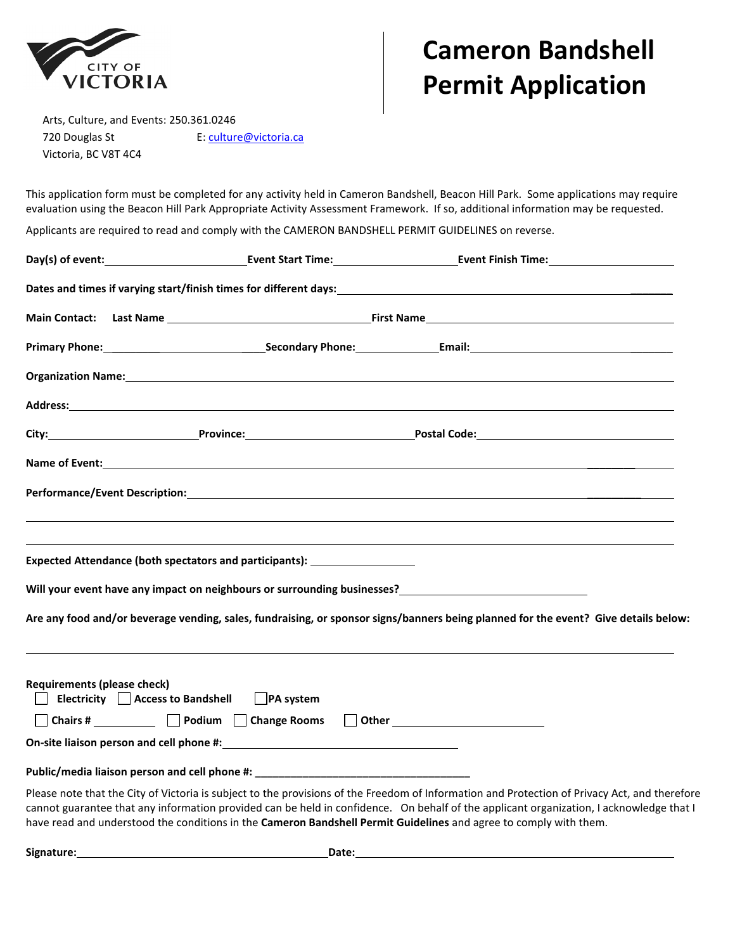

## **Cameron Bandshell Permit Application**

Arts, Culture, and Events: 250.361.0246 720 Douglas St **E:** culture@victoria.ca Victoria, BC V8T 4C4

This application form must be completed for any activity held in Cameron Bandshell, Beacon Hill Park. Some applications may require evaluation using the Beacon Hill Park Appropriate Activity Assessment Framework. If so, additional information may be requested.

Applicants are required to read and comply with the CAMERON BANDSHELL PERMIT GUIDELINES on reverse.

|                                    | Expected Attendance (both spectators and participants): ________________________ |  |                                                                                                                                                                                                                                                                                                                                                                                                               |  |
|------------------------------------|----------------------------------------------------------------------------------|--|---------------------------------------------------------------------------------------------------------------------------------------------------------------------------------------------------------------------------------------------------------------------------------------------------------------------------------------------------------------------------------------------------------------|--|
|                                    |                                                                                  |  | Will your event have any impact on neighbours or surrounding businesses?<br>Universely and the set of the set of the set of the set of the set of the set of the set of the set of the se                                                                                                                                                                                                                     |  |
|                                    |                                                                                  |  | Are any food and/or beverage vending, sales, fundraising, or sponsor signs/banners being planned for the event? Give details below:                                                                                                                                                                                                                                                                           |  |
|                                    |                                                                                  |  |                                                                                                                                                                                                                                                                                                                                                                                                               |  |
| <b>Requirements (please check)</b> | Electricity Access to Bandshell PA system                                        |  |                                                                                                                                                                                                                                                                                                                                                                                                               |  |
|                                    | □ Chairs # __________ □ Podium □ Change Rooms □ Other _________________________  |  |                                                                                                                                                                                                                                                                                                                                                                                                               |  |
|                                    |                                                                                  |  |                                                                                                                                                                                                                                                                                                                                                                                                               |  |
|                                    | Public/media liaison person and cell phone #: __________________________________ |  |                                                                                                                                                                                                                                                                                                                                                                                                               |  |
|                                    |                                                                                  |  | Please note that the City of Victoria is subject to the provisions of the Freedom of Information and Protection of Privacy Act, and therefore<br>cannot guarantee that any information provided can be held in confidence. On behalf of the applicant organization, I acknowledge that I<br>have read and understood the conditions in the Cameron Bandshell Permit Guidelines and agree to comply with them. |  |

Signature: Date: Date: Date: Date: Date: Date: Date: Date: Date: Date: Date: Date: Date: Date: Date: Date: Date: Date: Date: Date: Date: Date: Date: Date: Date: Date: Date: Date: Date: Date: Date: Date: Date: Date: Date: D